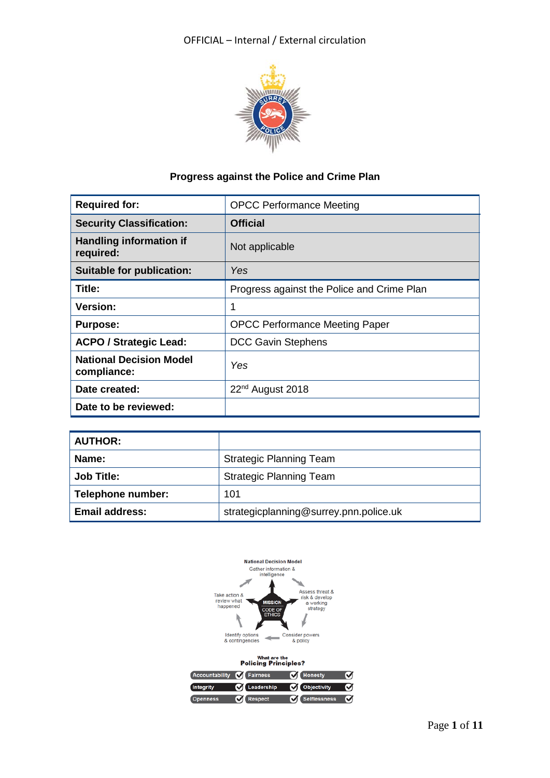

# **Progress against the Police and Crime Plan**

| <b>Required for:</b>                          | <b>OPCC Performance Meeting</b>            |  |  |
|-----------------------------------------------|--------------------------------------------|--|--|
| <b>Security Classification:</b>               | <b>Official</b>                            |  |  |
| <b>Handling information if</b><br>required:   | Not applicable                             |  |  |
| Suitable for publication:                     | Yes                                        |  |  |
| Title:                                        | Progress against the Police and Crime Plan |  |  |
| <b>Version:</b>                               | 1                                          |  |  |
| <b>Purpose:</b>                               | <b>OPCC Performance Meeting Paper</b>      |  |  |
| <b>ACPO / Strategic Lead:</b>                 | <b>DCC Gavin Stephens</b>                  |  |  |
| <b>National Decision Model</b><br>compliance: | Yes                                        |  |  |
| Date created:                                 | $22nd$ August 2018                         |  |  |
| Date to be reviewed:                          |                                            |  |  |

| <b>AUTHOR:</b>        |                                        |
|-----------------------|----------------------------------------|
| Name:                 | <b>Strategic Planning Team</b>         |
| <b>Job Title:</b>     | <b>Strategic Planning Team</b>         |
| Telephone number:     | 101                                    |
| <b>Email address:</b> | strategicplanning@surrey.pnn.police.uk |



| Accountability <b>Of</b> Fairness |                  | <b>M</b> Honesty         | ᢦ |
|-----------------------------------|------------------|--------------------------|---|
| <b>Integrity</b>                  |                  | Leadership C Objectivity | Ø |
| <b>Openness</b>                   | <b>C</b> Respect | Selflessness             | Ø |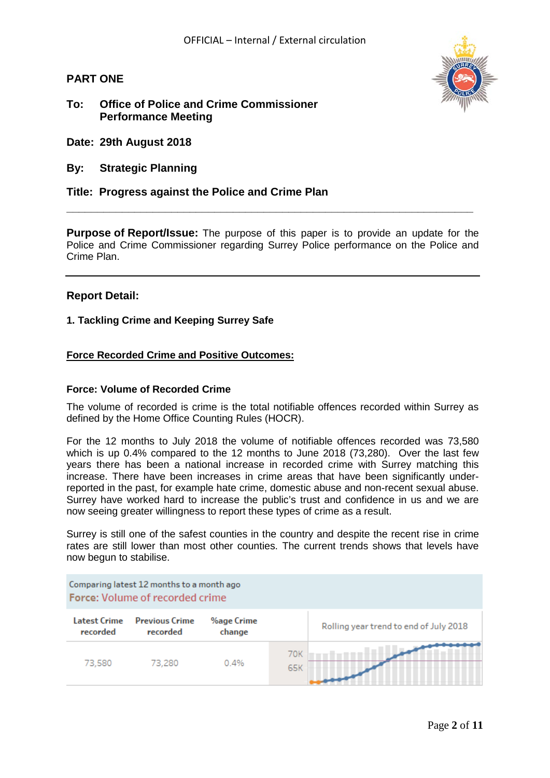**PART ONE**

# **To: Office of Police and Crime Commissioner Performance Meeting**



- **Date: 29th August 2018**
- **By: Strategic Planning**

# **Title: Progress against the Police and Crime Plan**

**Purpose of Report/Issue:** The purpose of this paper is to provide an update for the Police and Crime Commissioner regarding Surrey Police performance on the Police and Crime Plan.

**\_\_\_\_\_\_\_\_\_\_\_\_\_\_\_\_\_\_\_\_\_\_\_\_\_\_\_\_\_\_\_\_\_\_\_\_\_\_\_\_\_\_\_\_\_\_\_\_\_\_\_\_\_\_\_\_\_\_\_\_\_\_\_\_\_\_**

## **Report Detail:**

#### **1. Tackling Crime and Keeping Surrey Safe**

#### **Force Recorded Crime and Positive Outcomes:**

#### **Force: Volume of Recorded Crime**

The volume of recorded is crime is the total notifiable offences recorded within Surrey as defined by the Home Office Counting Rules (HOCR).

For the 12 months to July 2018 the volume of notifiable offences recorded was 73,580 which is up 0.4% compared to the 12 months to June 2018 (73,280). Over the last few years there has been a national increase in recorded crime with Surrey matching this increase. There have been increases in crime areas that have been significantly underreported in the past, for example hate crime, domestic abuse and non-recent sexual abuse. Surrey have worked hard to increase the public's trust and confidence in us and we are now seeing greater willingness to report these types of crime as a result.

Surrey is still one of the safest counties in the country and despite the recent rise in crime rates are still lower than most other counties. The current trends shows that levels have now begun to stabilise.

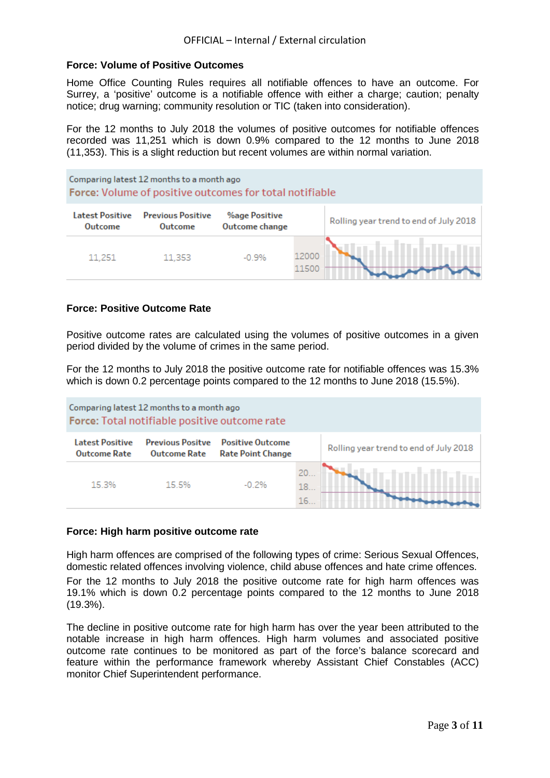#### **Force: Volume of Positive Outcomes**

Home Office Counting Rules requires all notifiable offences to have an outcome. For Surrey, a 'positive' outcome is a notifiable offence with either a charge; caution; penalty notice; drug warning; community resolution or TIC (taken into consideration).

For the 12 months to July 2018 the volumes of positive outcomes for notifiable offences recorded was 11,251 which is down 0.9% compared to the 12 months to June 2018 (11,353). This is a slight reduction but recent volumes are within normal variation.

| Comparing latest 12 months to a month ago<br>Force: Volume of positive outcomes for total notifiable |                                            |                                        |                |                                        |  |  |
|------------------------------------------------------------------------------------------------------|--------------------------------------------|----------------------------------------|----------------|----------------------------------------|--|--|
| <b>Latest Positive</b><br>Outcome                                                                    | <b>Previous Positive</b><br><b>Outcome</b> | <b>%age Positive</b><br>Outcome change |                | Rolling year trend to end of July 2018 |  |  |
| 11,251                                                                                               | 11,353                                     | $-0.9%$                                | 12000<br>11500 |                                        |  |  |

#### **Force: Positive Outcome Rate**

Positive outcome rates are calculated using the volumes of positive outcomes in a given period divided by the volume of crimes in the same period.

For the 12 months to July 2018 the positive outcome rate for notifiable offences was 15.3% which is down 0.2 percentage points compared to the 12 months to June 2018 (15.5%).



#### **Force: High harm positive outcome rate**

High harm offences are comprised of the following types of crime: Serious Sexual Offences, domestic related offences involving violence, child abuse offences and hate crime offences. For the 12 months to July 2018 the positive outcome rate for high harm offences was 19.1% which is down 0.2 percentage points compared to the 12 months to June 2018 (19.3%).

The decline in positive outcome rate for high harm has over the year been attributed to the notable increase in high harm offences. High harm volumes and associated positive outcome rate continues to be monitored as part of the force's balance scorecard and feature within the performance framework whereby Assistant Chief Constables (ACC) monitor Chief Superintendent performance.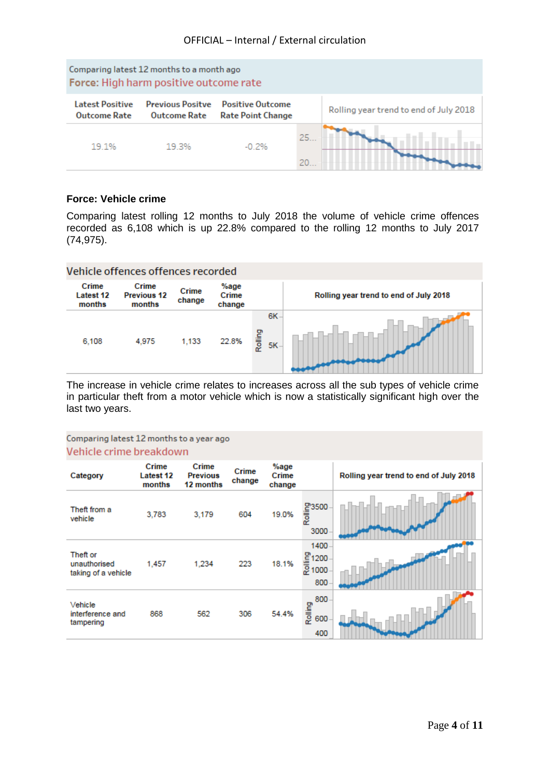

# **Force: Vehicle crime**

Comparing latest rolling 12 months to July 2018 the volume of vehicle crime offences recorded as 6,108 which is up 22.8% compared to the rolling 12 months to July 2017 (74,975).



The increase in vehicle crime relates to increases across all the sub types of vehicle crime in particular theft from a motor vehicle which is now a statistically significant high over the last two years.

#### Comparing latest 12 months to a year ago Vehicle crime breakdown

| Category                                        | Crime<br><b>Latest 12</b><br>months | Crime<br><b>Previous</b><br>12 months | Crime<br>change | %age<br>Crime<br>change |                                 | Rolling year trend to end of July 2018 |
|-------------------------------------------------|-------------------------------------|---------------------------------------|-----------------|-------------------------|---------------------------------|----------------------------------------|
| Theft from a<br>vehicle                         | 3,783                               | 3,179                                 | 604             | 19.0%                   | )<br>- 1000<br>- 1000<br>3000   |                                        |
| Theft or<br>unauthorised<br>taking of a vehicle | 1,457                               | 1,234                                 | 223             | 18.1%                   | 1400<br>을 1200<br>윤 1000<br>800 |                                        |
| Vehicle<br>interference and<br>tampering        | 868                                 | 562                                   | 306             | 54.4%                   | 800<br>Rolling<br>600<br>400    |                                        |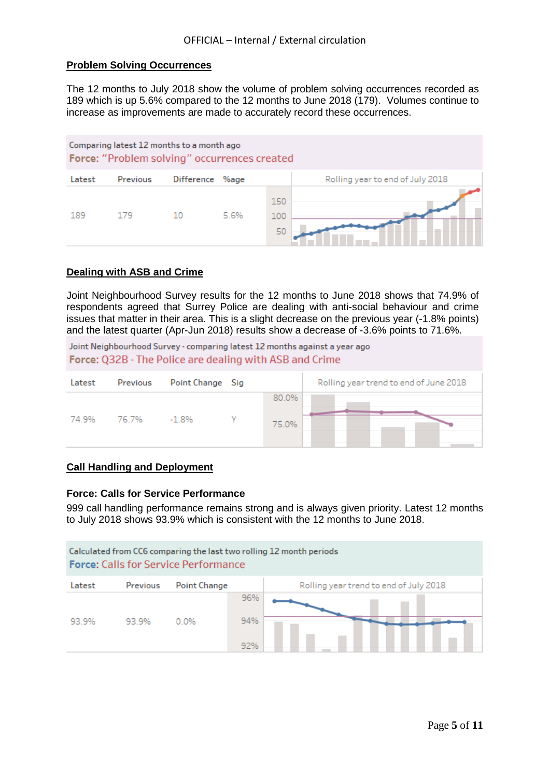# **Problem Solving Occurrences**

The 12 months to July 2018 show the volume of problem solving occurrences recorded as 189 which is up 5.6% compared to the 12 months to June 2018 (179). Volumes continue to increase as improvements are made to accurately record these occurrences.



#### **Dealing with ASB and Crime**

Joint Neighbourhood Survey results for the 12 months to June 2018 shows that 74.9% of respondents agreed that Surrey Police are dealing with anti-social behaviour and crime issues that matter in their area. This is a slight decrease on the previous year (-1.8% points) and the latest quarter (Apr-Jun 2018) results show a decrease of -3.6% points to 71.6%.

Joint Neighbourhood Survey - comparing latest 12 months against a year ago Force: Q32B - The Police are dealing with ASB and Crime

| Previous<br>Latest | Point Change Sig |                | Rolling year trend to end of June 2018 |
|--------------------|------------------|----------------|----------------------------------------|
| 74.9%<br>76.7%     | $-1.8%$          | 80.0%<br>75.0% |                                        |

## **Call Handling and Deployment**

#### **Force: Calls for Service Performance**

999 call handling performance remains strong and is always given priority. Latest 12 months to July 2018 shows 93.9% which is consistent with the 12 months to June 2018.

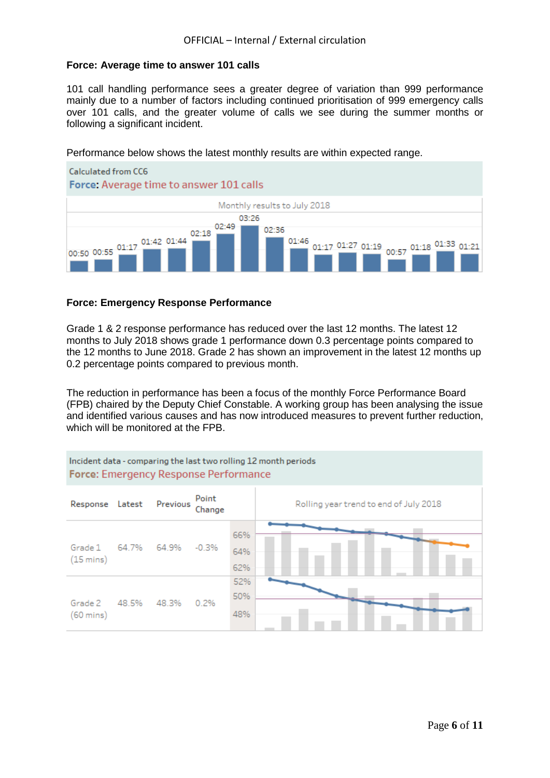## **Force: Average time to answer 101 calls**

101 call handling performance sees a greater degree of variation than 999 performance mainly due to a number of factors including continued prioritisation of 999 emergency calls over 101 calls, and the greater volume of calls we see during the summer months or following a significant incident.

Performance below shows the latest monthly results are within expected range.



## **Force: Emergency Response Performance**

Grade 1 & 2 response performance has reduced over the last 12 months. The latest 12 months to July 2018 shows grade 1 performance down 0.3 percentage points compared to the 12 months to June 2018. Grade 2 has shown an improvement in the latest 12 months up 0.2 percentage points compared to previous month.

The reduction in performance has been a focus of the monthly Force Performance Board (FPB) chaired by the Deputy Chief Constable. A working group has been analysing the issue and identified various causes and has now introduced measures to prevent further reduction, which will be monitored at the FPB.

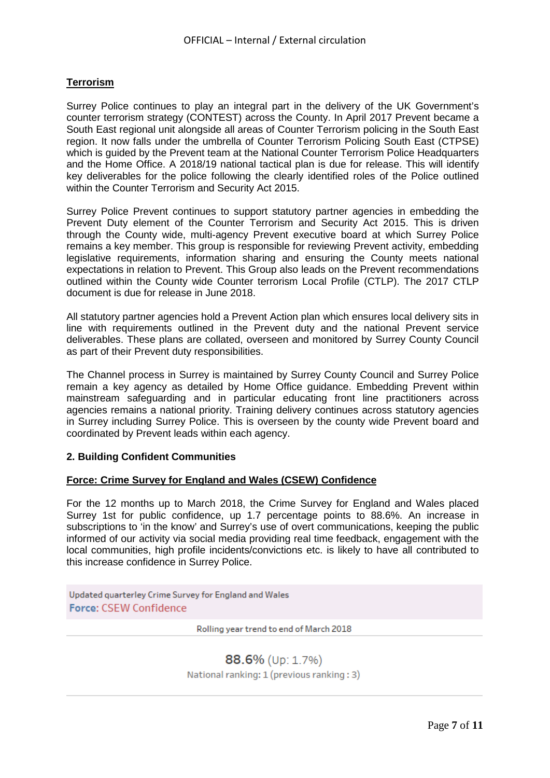# **Terrorism**

Surrey Police continues to play an integral part in the delivery of the UK Government's counter terrorism strategy (CONTEST) across the County. In April 2017 Prevent became a South East regional unit alongside all areas of Counter Terrorism policing in the South East region. It now falls under the umbrella of Counter Terrorism Policing South East (CTPSE) which is quided by the Prevent team at the National Counter Terrorism Police Headquarters and the Home Office. A 2018/19 national tactical plan is due for release. This will identify key deliverables for the police following the clearly identified roles of the Police outlined within the Counter Terrorism and Security Act 2015.

Surrey Police Prevent continues to support statutory partner agencies in embedding the Prevent Duty element of the Counter Terrorism and Security Act 2015. This is driven through the County wide, multi-agency Prevent executive board at which Surrey Police remains a key member. This group is responsible for reviewing Prevent activity, embedding legislative requirements, information sharing and ensuring the County meets national expectations in relation to Prevent. This Group also leads on the Prevent recommendations outlined within the County wide Counter terrorism Local Profile (CTLP). The 2017 CTLP document is due for release in June 2018.

All statutory partner agencies hold a Prevent Action plan which ensures local delivery sits in line with requirements outlined in the Prevent duty and the national Prevent service deliverables. These plans are collated, overseen and monitored by Surrey County Council as part of their Prevent duty responsibilities.

The Channel process in Surrey is maintained by Surrey County Council and Surrey Police remain a key agency as detailed by Home Office guidance. Embedding Prevent within mainstream safeguarding and in particular educating front line practitioners across agencies remains a national priority. Training delivery continues across statutory agencies in Surrey including Surrey Police. This is overseen by the county wide Prevent board and coordinated by Prevent leads within each agency.

## **2. Building Confident Communities**

#### **Force: Crime Survey for England and Wales (CSEW) Confidence**

For the 12 months up to March 2018, the Crime Survey for England and Wales placed Surrey 1st for public confidence, up 1.7 percentage points to 88.6%. An increase in subscriptions to 'in the know' and Surrey's use of overt communications, keeping the public informed of our activity via social media providing real time feedback, engagement with the local communities, high profile incidents/convictions etc. is likely to have all contributed to this increase confidence in Surrey Police.

Updated quarterley Crime Survey for England and Wales Force: CSEW Confidence

Rolling year trend to end of March 2018

## 88.6% (Up: 1.7%)

National ranking: 1 (previous ranking: 3)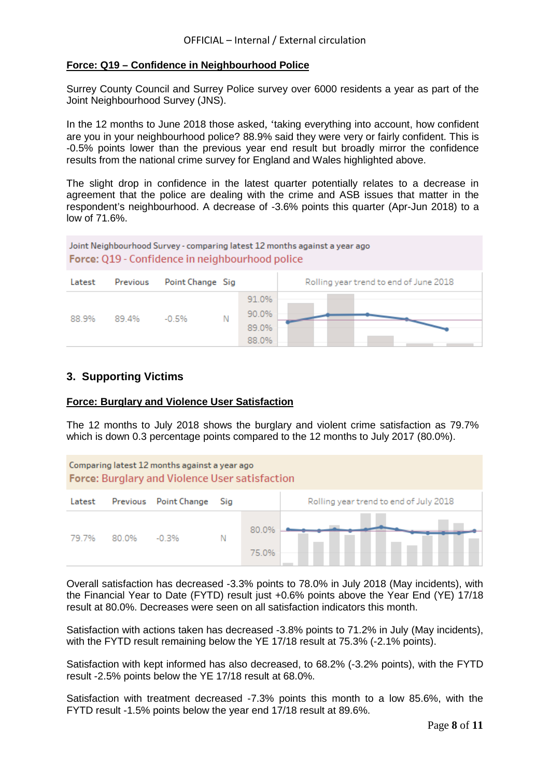# **Force: Q19 – Confidence in Neighbourhood Police**

Surrey County Council and Surrey Police survey over 6000 residents a year as part of the Joint Neighbourhood Survey (JNS).

In the 12 months to June 2018 those asked, 'taking everything into account, how confident are you in your neighbourhood police? 88.9% said they were very or fairly confident. This is -0.5% points lower than the previous year end result but broadly mirror the confidence results from the national crime survey for England and Wales highlighted above.

The slight drop in confidence in the latest quarter potentially relates to a decrease in agreement that the police are dealing with the crime and ASB issues that matter in the respondent's neighbourhood. A decrease of -3.6% points this quarter (Apr-Jun 2018) to a low of 71.6%.



# **3. Supporting Victims**

## **Force: Burglary and Violence User Satisfaction**

The 12 months to July 2018 shows the burglary and violent crime satisfaction as 79.7% which is down 0.3 percentage points compared to the 12 months to July 2017 (80.0%).



Overall satisfaction has decreased -3.3% points to 78.0% in July 2018 (May incidents), with the Financial Year to Date (FYTD) result just +0.6% points above the Year End (YE) 17/18 result at 80.0%. Decreases were seen on all satisfaction indicators this month.

Satisfaction with actions taken has decreased -3.8% points to 71.2% in July (May incidents), with the FYTD result remaining below the YE 17/18 result at 75.3% (-2.1% points).

Satisfaction with kept informed has also decreased, to 68.2% (-3.2% points), with the FYTD result -2.5% points below the YE 17/18 result at 68.0%.

Satisfaction with treatment decreased -7.3% points this month to a low 85.6%, with the FYTD result -1.5% points below the year end 17/18 result at 89.6%.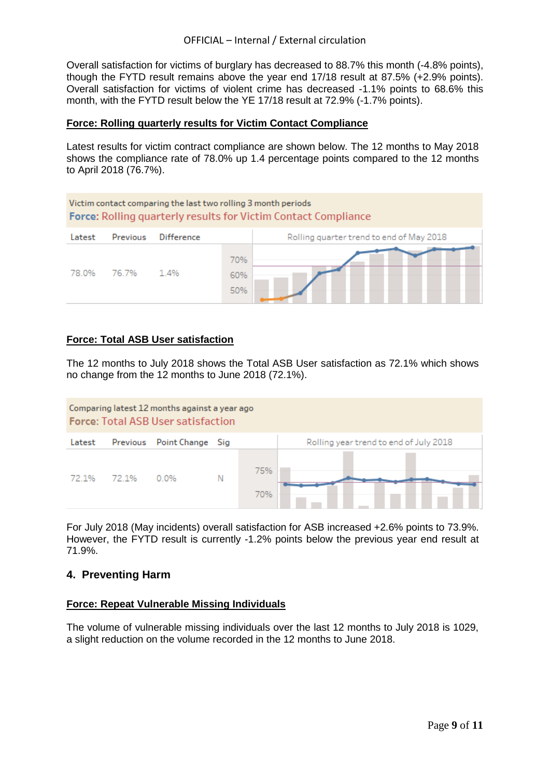Overall satisfaction for victims of burglary has decreased to 88.7% this month (-4.8% points), though the FYTD result remains above the year end 17/18 result at 87.5% (+2.9% points). Overall satisfaction for victims of violent crime has decreased -1.1% points to 68.6% this month, with the FYTD result below the YE 17/18 result at 72.9% (-1.7% points).

#### **Force: Rolling quarterly results for Victim Contact Compliance**

Latest results for victim contract compliance are shown below. The 12 months to May 2018 shows the compliance rate of 78.0% up 1.4 percentage points compared to the 12 months to April 2018 (76.7%).



## **Force: Total ASB User satisfaction**

The 12 months to July 2018 shows the Total ASB User satisfaction as 72.1% which shows no change from the 12 months to June 2018 (72.1%).



For July 2018 (May incidents) overall satisfaction for ASB increased +2.6% points to 73.9%. However, the FYTD result is currently -1.2% points below the previous year end result at 71.9%.

## **4. Preventing Harm**

#### **Force: Repeat Vulnerable Missing Individuals**

The volume of vulnerable missing individuals over the last 12 months to July 2018 is 1029, a slight reduction on the volume recorded in the 12 months to June 2018.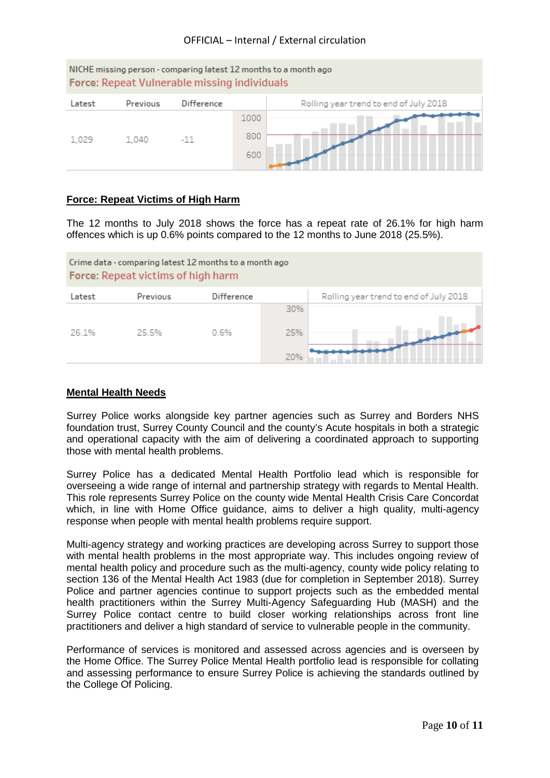| NICHE missing person - comparing latest 12 months to a month ago<br>Force: Repeat Vulnerable missing individuals |          |                   |      |                                        |  |  |
|------------------------------------------------------------------------------------------------------------------|----------|-------------------|------|----------------------------------------|--|--|
| Latest                                                                                                           | Previous | <b>Difference</b> |      | Rolling year trend to end of July 2018 |  |  |
|                                                                                                                  |          |                   | 1000 |                                        |  |  |
| 1.029                                                                                                            | 1.040    | $-11$             | 800  |                                        |  |  |
|                                                                                                                  |          |                   | 600  |                                        |  |  |

## **Force: Repeat Victims of High Harm**

The 12 months to July 2018 shows the force has a repeat rate of 26.1% for high harm offences which is up 0.6% points compared to the 12 months to June 2018 (25.5%).



# **Mental Health Needs**

Surrey Police works alongside key partner agencies such as Surrey and Borders NHS foundation trust, Surrey County Council and the county's Acute hospitals in both a strategic and operational capacity with the aim of delivering a coordinated approach to supporting those with mental health problems.

Surrey Police has a dedicated Mental Health Portfolio lead which is responsible for overseeing a wide range of internal and partnership strategy with regards to Mental Health. This role represents Surrey Police on the county wide Mental Health Crisis Care Concordat which, in line with Home Office guidance, aims to deliver a high quality, multi-agency response when people with mental health problems require support.

Multi-agency strategy and working practices are developing across Surrey to support those with mental health problems in the most appropriate way. This includes ongoing review of mental health policy and procedure such as the multi-agency, county wide policy relating to section 136 of the Mental Health Act 1983 (due for completion in September 2018). Surrey Police and partner agencies continue to support projects such as the embedded mental health practitioners within the Surrey Multi-Agency Safeguarding Hub (MASH) and the Surrey Police contact centre to build closer working relationships across front line practitioners and deliver a high standard of service to vulnerable people in the community.

Performance of services is monitored and assessed across agencies and is overseen by the Home Office. The Surrey Police Mental Health portfolio lead is responsible for collating and assessing performance to ensure Surrey Police is achieving the standards outlined by the College Of Policing.